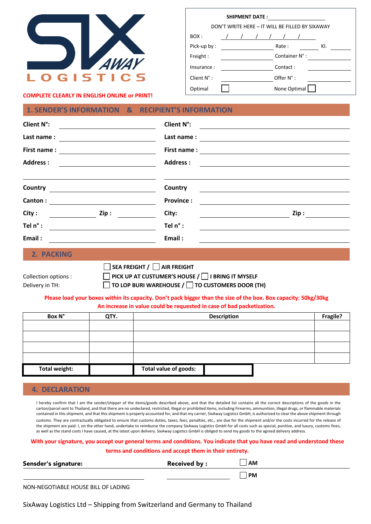

| <b>SHIPMENT DATE:</b>                           |  |  |  |  |                |     |
|-------------------------------------------------|--|--|--|--|----------------|-----|
| DON'T WRITE HERE - IT WILL BE FILLED BY SIXAWAY |  |  |  |  |                |     |
| BOX:                                            |  |  |  |  |                |     |
| Pick-up by:                                     |  |  |  |  | Rate:          | KI. |
| Freight:                                        |  |  |  |  | Container N° : |     |
| Insurance:                                      |  |  |  |  | Contact:       |     |
| Client $N^{\circ}$ :                            |  |  |  |  | Offer N°:      |     |
| Optimal                                         |  |  |  |  | None Optimal   |     |

**COMPLETE CLEARLY IN ENGLISH ONLINE or PRINT!** 

## **1. SENDER'S INFORMATION & RECIPIENT'S INFORMATION**

| <b>Client N°:</b> | <b>Client N°:</b>                                                     |
|-------------------|-----------------------------------------------------------------------|
| Last name:        | Last name:                                                            |
| First name:       | First name:<br><u> 1980 - Andrea Station Barbara, amerikan per</u>    |
| <b>Address:</b>   | <b>Address:</b><br><u> 1989 - John Stein, Amerikaansk politiker (</u> |
|                   |                                                                       |
| Country           | Country                                                               |
| Canton:           | <b>Province:</b>                                                      |
| City:<br>Zip:     | City:<br>Zip :                                                        |
| Tel n° :          | Tel n° :                                                              |
| Email:            | Email:                                                                |
| 2. PACKING        |                                                                       |

|                      | $\Box$ SEA FREIGHT / $\Box$ AIR FREIGHT                      |
|----------------------|--------------------------------------------------------------|
| Collection options : | PICK UP AT CUSTUMER'S HOUSE / $\Box$ I BRING IT MYSELF       |
| Delivery in TH:      | $\Box$ TO LOP BURI WAREHOUSE / $\Box$ TO CUSTOMERS DOOR (TH) |

## **Please load your boxes within its capacity. Don't pack bigger than the size of the box. Box capacity: 50kg/30kg An increase in value could be requested in case of bad packetization.**

| Box N°               | QTY. | <b>Description</b>    | Fragile? |
|----------------------|------|-----------------------|----------|
|                      |      |                       |          |
|                      |      |                       |          |
|                      |      |                       |          |
|                      |      |                       |          |
| <b>Total weight:</b> |      | Total value of goods: |          |

## **4. DECLARATION**

I hereby confirm that I am the sender/shipper of the items/goods described above, and that the detailed list contains all the correct descriptions of the goods in the carton/parcel sent to Thailand, and that there are no undeclared, restricted, illegal or prohibited items, including Firearms, ammunition, illegal drugs, or flammable materials contained in this shipment, and that this shipment is properly accounted for, and that my carrier, SixAway Logistics GmbH, is authorized to clear the above shipment through customs. They are contractually obligated to ensure that customs duties, taxes, fees, penalties, etc., are due for the shipment and/or the costs incurred for the release of the shipment are paid. I, on the other hand, undertake to reimburse the company SixAway Logistics GmbH for all costs such as special, punitive, and luxury, customs fines, as well as the stand costs I have caused, at the latest upon delivery. SixAway Logistics GmbH is obliged to send my goods to the agreed delivery address.

## **With your signature, you accept our general terms and conditions. You indicate that you have read and understood these terms and conditions and accept them in their entirety.**

| Sensder's signature: | <b>Received by:</b> | AM |  |
|----------------------|---------------------|----|--|
|                      |                     | PM |  |

NON-NEGOTIABLE HOUSE BILL OF LADING

SixAway Logistics Ltd – Shipping from Switzerland and Germany to Thailand